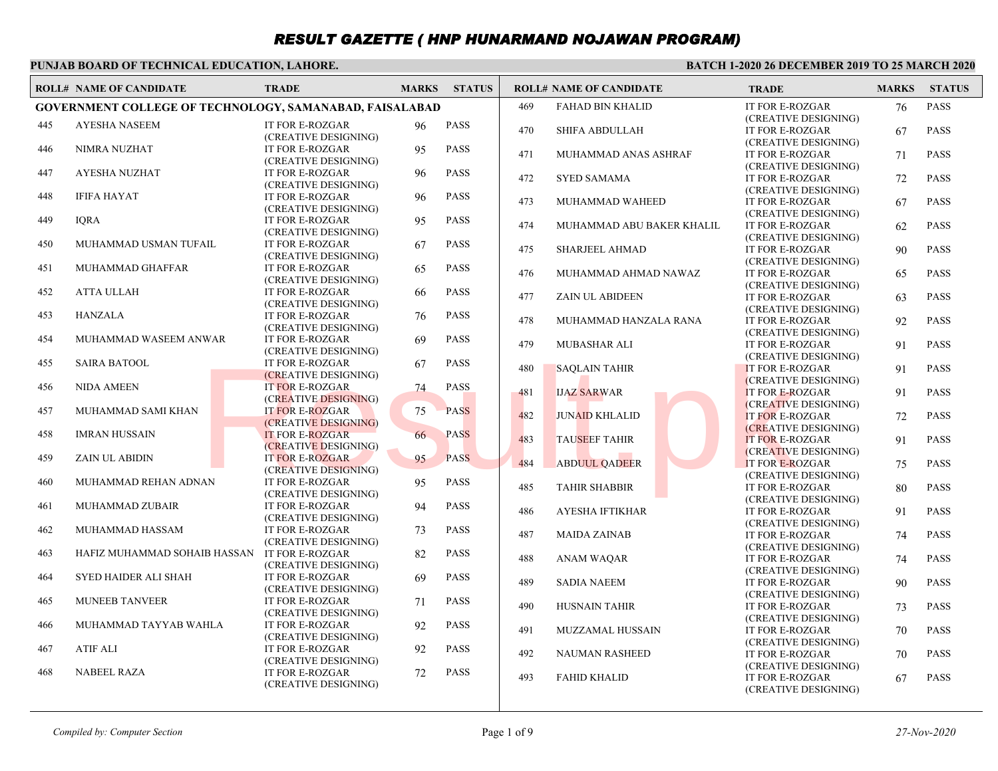### **PUNJAB BOARD OF TECHNICAL EDUCATION, LAHORE.**

|     | <b>ROLL# NAME OF CANDIDATE</b>                          | <b>TRADE</b>                                   | <b>MARKS</b> | <b>STATUS</b> |     | <b>ROLL# NAME OF CANDIDATE</b> | <b>TRADE</b>                                                           | <b>MARKS</b> | <b>STATUS</b> |
|-----|---------------------------------------------------------|------------------------------------------------|--------------|---------------|-----|--------------------------------|------------------------------------------------------------------------|--------------|---------------|
|     | GOVERNMENT COLLEGE OF TECHNOLOGY, SAMANABAD, FAISALABAD |                                                |              |               | 469 | <b>FAHAD BIN KHALID</b>        | <b>IT FOR E-ROZGAR</b>                                                 | 76           | <b>PASS</b>   |
| 445 | <b>AYESHA NASEEM</b>                                    | <b>IT FOR E-ROZGAR</b><br>(CREATIVE DESIGNING) | 96           | <b>PASS</b>   | 470 | <b>SHIFA ABDULLAH</b>          | (CREATIVE DESIGNING)<br>IT FOR E-ROZGAR                                | 67           | <b>PASS</b>   |
| 446 | <b>NIMRA NUZHAT</b>                                     | <b>IT FOR E-ROZGAR</b><br>(CREATIVE DESIGNING) | 95           | <b>PASS</b>   | 471 | MUHAMMAD ANAS ASHRAF           | (CREATIVE DESIGNING)<br>IT FOR E-ROZGAR<br>(CREATIVE DESIGNING)        | 71           | <b>PASS</b>   |
| 447 | <b>AYESHA NUZHAT</b>                                    | <b>IT FOR E-ROZGAR</b><br>(CREATIVE DESIGNING) | 96           | PASS          | 472 | <b>SYED SAMAMA</b>             | <b>IT FOR E-ROZGAR</b><br>(CREATIVE DESIGNING)                         | 72           | <b>PASS</b>   |
| 448 | <b>IFIFA HAYAT</b>                                      | <b>IT FOR E-ROZGAR</b><br>(CREATIVE DESIGNING) | 96           | <b>PASS</b>   | 473 | MUHAMMAD WAHEED                | <b>IT FOR E-ROZGAR</b><br>(CREATIVE DESIGNING)                         | 67           | <b>PASS</b>   |
| 449 | <b>IQRA</b>                                             | <b>IT FOR E-ROZGAR</b><br>(CREATIVE DESIGNING) | 95           | <b>PASS</b>   | 474 | MUHAMMAD ABU BAKER KHALIL      | <b>IT FOR E-ROZGAR</b><br>(CREATIVE DESIGNING)                         | 62           | <b>PASS</b>   |
| 450 | MUHAMMAD USMAN TUFAIL                                   | <b>IT FOR E-ROZGAR</b><br>(CREATIVE DESIGNING) | 67           | <b>PASS</b>   | 475 | <b>SHARJEEL AHMAD</b>          | <b>IT FOR E-ROZGAR</b><br>(CREATIVE DESIGNING)                         | 90           | <b>PASS</b>   |
| 451 | MUHAMMAD GHAFFAR                                        | <b>IT FOR E-ROZGAR</b><br>(CREATIVE DESIGNING) | 65           | <b>PASS</b>   | 476 | MUHAMMAD AHMAD NAWAZ           | <b>IT FOR E-ROZGAR</b><br>(CREATIVE DESIGNING)                         | 65           | <b>PASS</b>   |
| 452 | <b>ATTA ULLAH</b>                                       | <b>IT FOR E-ROZGAR</b><br>(CREATIVE DESIGNING) | 66           | <b>PASS</b>   | 477 | <b>ZAIN UL ABIDEEN</b>         | <b>IT FOR E-ROZGAR</b><br>(CREATIVE DESIGNING)                         | 63           | <b>PASS</b>   |
| 453 | <b>HANZALA</b>                                          | <b>IT FOR E-ROZGAR</b><br>(CREATIVE DESIGNING) | 76           | <b>PASS</b>   | 478 | MUHAMMAD HANZALA RANA          | <b>IT FOR E-ROZGAR</b><br>(CREATIVE DESIGNING)                         | 92           | <b>PASS</b>   |
| 454 | MUHAMMAD WASEEM ANWAR                                   | <b>IT FOR E-ROZGAR</b><br>(CREATIVE DESIGNING) | 69           | <b>PASS</b>   | 479 | MUBASHAR ALI                   | <b>IT FOR E-ROZGAR</b><br>(CREATIVE DESIGNING)                         | 91           | <b>PASS</b>   |
| 455 | <b>SAIRA BATOOL</b>                                     | <b>IT FOR E-ROZGAR</b><br>(CREATIVE DESIGNING) | 67           | <b>PASS</b>   | 480 | <b>SAOLAIN TAHIR</b>           | <b>IT FOR E-ROZGAR</b><br>(CREATIVE DESIGNING)                         | 91           | <b>PASS</b>   |
| 456 | <b>NIDA AMEEN</b>                                       | <b>IT FOR E-ROZGAR</b><br>(CREATIVE DESIGNING) | 74           | <b>PASS</b>   | 481 | <b>IJAZ SARWAR</b>             | <b>IT FOR E-ROZGAR</b><br>(CREATIVE DESIGNING)                         | 91           | <b>PASS</b>   |
| 457 | MUHAMMAD SAMI KHAN                                      | <b>IT FOR E-ROZGAR</b><br>(CREATIVE DESIGNING) | 75           | <b>PASS</b>   | 482 | <b>JUNAID KHLALID</b>          | <b>IT FOR E-ROZGAR</b><br>(CREATIVE DESIGNING)                         | 72           | <b>PASS</b>   |
| 458 | <b>IMRAN HUSSAIN</b>                                    | <b>IT FOR E-ROZGAR</b><br>(CREATIVE DESIGNING) | 66           | <b>PASS</b>   | 483 | <b>TAUSEEF TAHIR</b>           | <b>IT FOR E-ROZGAR</b><br>(CREATIVE DESIGNING)                         | 91           | <b>PASS</b>   |
| 459 | <b>ZAIN UL ABIDIN</b>                                   | <b>IT FOR E-ROZGAR</b><br>(CREATIVE DESIGNING) | 95           | <b>PASS</b>   | 484 | <b>ABDUUL QADEER</b>           | <b>IT FOR E-ROZGAR</b><br>(CREATIVE DESIGNING)                         | 75           | <b>PASS</b>   |
| 460 | MUHAMMAD REHAN ADNAN                                    | <b>IT FOR E-ROZGAR</b><br>(CREATIVE DESIGNING) | 95           | <b>PASS</b>   | 485 | <b>TAHIR SHABBIR</b>           | <b>IT FOR E-ROZGAR</b><br>(CREATIVE DESIGNING)                         | 80           | <b>PASS</b>   |
| 461 | MUHAMMAD ZUBAIR                                         | IT FOR E-ROZGAR<br>(CREATIVE DESIGNING)        | 94           | <b>PASS</b>   | 486 | <b>AYESHA IFTIKHAR</b>         | <b>IT FOR E-ROZGAR</b><br>(CREATIVE DESIGNING)                         | 91           | <b>PASS</b>   |
| 462 | MUHAMMAD HASSAM                                         | <b>IT FOR E-ROZGAR</b><br>(CREATIVE DESIGNING) | 73           | <b>PASS</b>   | 487 | <b>MAIDA ZAINAB</b>            | <b>IT FOR E-ROZGAR</b><br>(CREATIVE DESIGNING)                         | 74           | <b>PASS</b>   |
| 463 | HAFIZ MUHAMMAD SOHAIB HASSAN IT FOR E-ROZGAR            | (CREATIVE DESIGNING)                           | 82           | <b>PASS</b>   | 488 | <b>ANAM WAQAR</b>              | <b>IT FOR E-ROZGAR</b><br>(CREATIVE DESIGNING)                         | 74           | <b>PASS</b>   |
| 464 | <b>SYED HAIDER ALI SHAH</b>                             | IT FOR E-ROZGAR<br>(CREATIVE DESIGNING)        | 69           | <b>PASS</b>   | 489 | <b>SADIA NAEEM</b>             | <b>IT FOR E-ROZGAR</b><br>(CREATIVE DESIGNING)                         | 90           | <b>PASS</b>   |
| 465 | <b>MUNEEB TANVEER</b>                                   | <b>IT FOR E-ROZGAR</b><br>(CREATIVE DESIGNING) | 71           | <b>PASS</b>   | 490 | <b>HUSNAIN TAHIR</b>           | <b>IT FOR E-ROZGAR</b><br>(CREATIVE DESIGNING)                         | 73           | <b>PASS</b>   |
| 466 | MUHAMMAD TAYYAB WAHLA                                   | <b>IT FOR E-ROZGAR</b><br>(CREATIVE DESIGNING) | 92           | <b>PASS</b>   | 491 | MUZZAMAL HUSSAIN               | <b>IT FOR E-ROZGAR</b><br>(CREATIVE DESIGNING)                         | 70           | <b>PASS</b>   |
| 467 | <b>ATIF ALI</b>                                         | IT FOR E-ROZGAR<br>(CREATIVE DESIGNING)        | 92           | <b>PASS</b>   | 492 | NAUMAN RASHEED                 | IT FOR E-ROZGAR                                                        | 70           | <b>PASS</b>   |
| 468 | <b>NABEEL RAZA</b>                                      | <b>IT FOR E-ROZGAR</b><br>(CREATIVE DESIGNING) | 72           | <b>PASS</b>   | 493 | <b>FAHID KHALID</b>            | (CREATIVE DESIGNING)<br><b>IT FOR E-ROZGAR</b><br>(CREATIVE DESIGNING) | 67           | <b>PASS</b>   |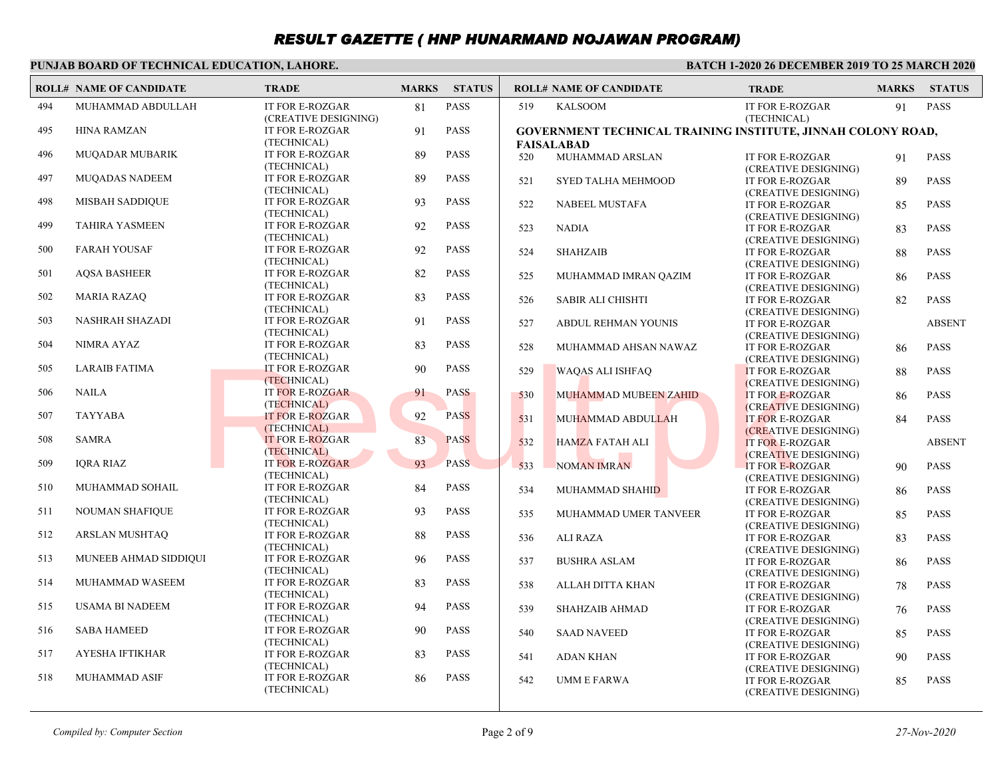#### **PUNJAB BOARD OF TECHNICAL EDUCATION, LAHORE.**

|     | <b>ROLL# NAME OF CANDIDATE</b> | <b>TRADE</b>                                   | <b>MARKS</b> | <b>STATUS</b> |     | <b>ROLL# NAME OF CANDIDATE</b>                                                    | <b>TRADE</b>                                   | <b>MARKS</b> | <b>STATUS</b> |
|-----|--------------------------------|------------------------------------------------|--------------|---------------|-----|-----------------------------------------------------------------------------------|------------------------------------------------|--------------|---------------|
| 494 | MUHAMMAD ABDULLAH              | <b>IT FOR E-ROZGAR</b><br>(CREATIVE DESIGNING) | 81           | <b>PASS</b>   | 519 | <b>KALSOOM</b>                                                                    | <b>IT FOR E-ROZGAR</b><br>(TECHNICAL)          | 91           | <b>PASS</b>   |
| 495 | <b>HINA RAMZAN</b>             | <b>IT FOR E-ROZGAR</b><br>(TECHNICAL)          | 91           | <b>PASS</b>   |     | GOVERNMENT TECHNICAL TRAINING INSTITUTE, JINNAH COLONY ROAD,<br><b>FAISALABAD</b> |                                                |              |               |
| 496 | <b>MUQADAR MUBARIK</b>         | <b>IT FOR E-ROZGAR</b><br>(TECHNICAL)          | 89           | <b>PASS</b>   | 520 | MUHAMMAD ARSLAN                                                                   | <b>IT FOR E-ROZGAR</b><br>(CREATIVE DESIGNING) | 91           | <b>PASS</b>   |
| 497 | <b>MUOADAS NADEEM</b>          | <b>IT FOR E-ROZGAR</b><br>(TECHNICAL)          | 89           | <b>PASS</b>   | 521 | SYED TALHA MEHMOOD                                                                | <b>IT FOR E-ROZGAR</b><br>(CREATIVE DESIGNING) | 89           | <b>PASS</b>   |
| 498 | <b>MISBAH SADDIQUE</b>         | <b>IT FOR E-ROZGAR</b><br>(TECHNICAL)          | 93           | <b>PASS</b>   | 522 | NABEEL MUSTAFA                                                                    | <b>IT FOR E-ROZGAR</b><br>(CREATIVE DESIGNING) | 85           | <b>PASS</b>   |
| 499 | <b>TAHIRA YASMEEN</b>          | <b>IT FOR E-ROZGAR</b><br>(TECHNICAL)          | 92           | <b>PASS</b>   | 523 | <b>NADIA</b>                                                                      | <b>IT FOR E-ROZGAR</b><br>(CREATIVE DESIGNING) | 83           | <b>PASS</b>   |
| 500 | <b>FARAH YOUSAF</b>            | <b>IT FOR E-ROZGAR</b><br>(TECHNICAL)          | 92           | <b>PASS</b>   | 524 | <b>SHAHZAIB</b>                                                                   | <b>IT FOR E-ROZGAR</b><br>(CREATIVE DESIGNING) | 88           | <b>PASS</b>   |
| 501 | <b>AQSA BASHEER</b>            | <b>IT FOR E-ROZGAR</b><br>(TECHNICAL)          | 82           | <b>PASS</b>   | 525 | MUHAMMAD IMRAN QAZIM                                                              | IT FOR E-ROZGAR<br>(CREATIVE DESIGNING)        | 86           | <b>PASS</b>   |
| 502 | <b>MARIA RAZAQ</b>             | <b>IT FOR E-ROZGAR</b><br>(TECHNICAL)          | 83           | <b>PASS</b>   | 526 | <b>SABIR ALI CHISHTI</b>                                                          | <b>IT FOR E-ROZGAR</b><br>(CREATIVE DESIGNING) | 82           | <b>PASS</b>   |
| 503 | <b>NASHRAH SHAZADI</b>         | <b>IT FOR E-ROZGAR</b><br>(TECHNICAL)          | 91           | <b>PASS</b>   | 527 | ABDUL REHMAN YOUNIS                                                               | <b>IT FOR E-ROZGAR</b><br>(CREATIVE DESIGNING) |              | <b>ABSENT</b> |
| 504 | NIMRA AYAZ                     | <b>IT FOR E-ROZGAR</b><br>(TECHNICAL)          | 83           | <b>PASS</b>   | 528 | MUHAMMAD AHSAN NAWAZ                                                              | <b>IT FOR E-ROZGAR</b><br>(CREATIVE DESIGNING) | 86           | <b>PASS</b>   |
| 505 | LARAIB FATIMA                  | <b>IT FOR E-ROZGAR</b><br>(TECHNICAL)          | 90           | <b>PASS</b>   | 529 | <b>WAOAS ALI ISHFAO</b>                                                           | <b>IT FOR E-ROZGAR</b><br>(CREATIVE DESIGNING) | 88           | <b>PASS</b>   |
| 506 | <b>NAILA</b>                   | <b>IT FOR E-ROZGAR</b><br>(TECHNICAL)          | 91           | <b>PASS</b>   | 530 | MUHAMMAD MUBEEN ZAHID                                                             | <b>IT FOR E-ROZGAR</b><br>(CREATIVE DESIGNING) | 86           | <b>PASS</b>   |
| 507 | <b>TAYYABA</b>                 | <b>IT FOR E-ROZGAR</b><br>(TECHNICAL)          | 92           | <b>PASS</b>   | 531 | MUHAMMAD ABDULLAH                                                                 | <b>IT FOR E-ROZGAR</b><br>(CREATIVE DESIGNING) | 84           | <b>PASS</b>   |
| 508 | <b>SAMRA</b>                   | <b>IT FOR E-ROZGAR</b><br>(TECHNICAL)          | 83           | <b>PASS</b>   | 532 | <b>HAMZA FATAH ALI</b>                                                            | <b>IT FOR E-ROZGAR</b><br>(CREATIVE DESIGNING) |              | <b>ABSENT</b> |
| 509 | <b>IQRA RIAZ</b>               | <b>IT FOR E-ROZGAR</b><br>(TECHNICAL)          | 93           | <b>PASS</b>   | 533 | <b>NOMAN IMRAN</b>                                                                | <b>IT FOR E-ROZGAR</b><br>(CREATIVE DESIGNING) | 90           | <b>PASS</b>   |
| 510 | MUHAMMAD SOHAIL                | <b>IT FOR E-ROZGAR</b><br>(TECHNICAL)          | 84           | <b>PASS</b>   | 534 | MUHAMMAD SHAHID                                                                   | <b>IT FOR E-ROZGAR</b><br>(CREATIVE DESIGNING) | 86           | <b>PASS</b>   |
| 511 | <b>NOUMAN SHAFIQUE</b>         | <b>IT FOR E-ROZGAR</b><br>(TECHNICAL)          | 93           | <b>PASS</b>   | 535 | MUHAMMAD UMER TANVEER                                                             | <b>IT FOR E-ROZGAR</b><br>(CREATIVE DESIGNING) | 85           | <b>PASS</b>   |
| 512 | ARSLAN MUSHTAQ                 | <b>IT FOR E-ROZGAR</b><br>(TECHNICAL)          | 88           | <b>PASS</b>   | 536 | <b>ALI RAZA</b>                                                                   | <b>IT FOR E-ROZGAR</b><br>(CREATIVE DESIGNING) | 83           | <b>PASS</b>   |
| 513 | MUNEEB AHMAD SIDDIQUI          | <b>IT FOR E-ROZGAR</b><br>(TECHNICAL)          | 96           | <b>PASS</b>   | 537 | <b>BUSHRA ASLAM</b>                                                               | <b>IT FOR E-ROZGAR</b><br>(CREATIVE DESIGNING) | 86           | <b>PASS</b>   |
| 514 | MUHAMMAD WASEEM                | <b>IT FOR E-ROZGAR</b><br>(TECHNICAL)          | 83           | <b>PASS</b>   | 538 | ALLAH DITTA KHAN                                                                  | <b>IT FOR E-ROZGAR</b><br>(CREATIVE DESIGNING) | 78           | <b>PASS</b>   |
| 515 | <b>USAMA BI NADEEM</b>         | <b>IT FOR E-ROZGAR</b><br>(TECHNICAL)          | 94           | <b>PASS</b>   | 539 | <b>SHAHZAIB AHMAD</b>                                                             | <b>IT FOR E-ROZGAR</b><br>(CREATIVE DESIGNING) | 76           | <b>PASS</b>   |
| 516 | <b>SABA HAMEED</b>             | <b>IT FOR E-ROZGAR</b><br>(TECHNICAL)          | 90           | <b>PASS</b>   | 540 | <b>SAAD NAVEED</b>                                                                | <b>IT FOR E-ROZGAR</b><br>(CREATIVE DESIGNING) | 85           | <b>PASS</b>   |
| 517 | <b>AYESHA IFTIKHAR</b>         | <b>IT FOR E-ROZGAR</b><br>(TECHNICAL)          | 83           | <b>PASS</b>   | 541 | <b>ADAN KHAN</b>                                                                  | <b>IT FOR E-ROZGAR</b><br>(CREATIVE DESIGNING) | 90           | <b>PASS</b>   |
| 518 | <b>MUHAMMAD ASIF</b>           | <b>IT FOR E-ROZGAR</b><br>(TECHNICAL)          | 86           | <b>PASS</b>   | 542 | <b>UMM E FARWA</b>                                                                | <b>IT FOR E-ROZGAR</b><br>(CREATIVE DESIGNING) | 85           | <b>PASS</b>   |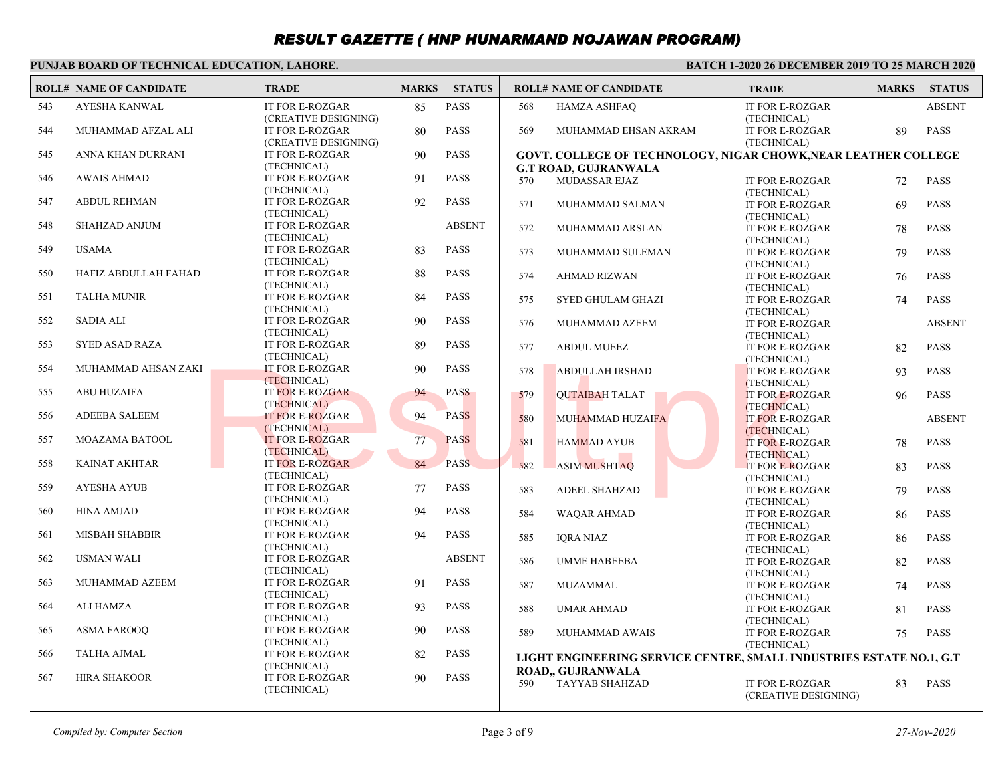#### **PUNJAB BOARD OF TECHNICAL EDUCATION, LAHORE.**

|     | <b>ROLL# NAME OF CANDIDATE</b> | <b>TRADE</b>                                                    | <b>MARKS</b> | <b>STATUS</b> |     | <b>ROLL# NAME OF CANDIDATE</b>                                      | <b>TRADE</b>                                  | <b>MARKS</b> | <b>STATUS</b> |
|-----|--------------------------------|-----------------------------------------------------------------|--------------|---------------|-----|---------------------------------------------------------------------|-----------------------------------------------|--------------|---------------|
| 543 | AYESHA KANWAL                  | IT FOR E-ROZGAR                                                 | 85           | <b>PASS</b>   | 568 | <b>HAMZA ASHFAQ</b>                                                 | IT FOR E-ROZGAR                               |              | <b>ABSENT</b> |
| 544 | MUHAMMAD AFZAL ALI             | (CREATIVE DESIGNING)<br>IT FOR E-ROZGAR<br>(CREATIVE DESIGNING) | 80           | <b>PASS</b>   | 569 | MUHAMMAD EHSAN AKRAM                                                | (TECHNICAL)<br>IT FOR E-ROZGAR<br>(TECHNICAL) | 89           | <b>PASS</b>   |
| 545 | ANNA KHAN DURRANI              | IT FOR E-ROZGAR<br>(TECHNICAL)                                  | 90           | <b>PASS</b>   |     | GOVT. COLLEGE OF TECHNOLOGY, NIGAR CHOWK, NEAR LEATHER COLLEGE      |                                               |              |               |
| 546 | <b>AWAIS AHMAD</b>             | <b>IT FOR E-ROZGAR</b><br>(TECHNICAL)                           | 91           | <b>PASS</b>   | 570 | <b>G.T ROAD, GUJRANWALA</b><br>MUDASSAR EJAZ                        | IT FOR E-ROZGAR<br>(TECHNICAL)                | 72           | <b>PASS</b>   |
| 547 | <b>ABDUL REHMAN</b>            | IT FOR E-ROZGAR<br>(TECHNICAL)                                  | 92           | <b>PASS</b>   | 571 | MUHAMMAD SALMAN                                                     | <b>IT FOR E-ROZGAR</b><br>(TECHNICAL)         | 69           | <b>PASS</b>   |
| 548 | <b>SHAHZAD ANJUM</b>           | <b>IT FOR E-ROZGAR</b><br>(TECHNICAL)                           |              | <b>ABSENT</b> | 572 | MUHAMMAD ARSLAN                                                     | IT FOR E-ROZGAR<br>(TECHNICAL)                | 78           | <b>PASS</b>   |
| 549 | <b>USAMA</b>                   | IT FOR E-ROZGAR<br>(TECHNICAL)                                  | 83           | <b>PASS</b>   | 573 | MUHAMMAD SULEMAN                                                    | IT FOR E-ROZGAR<br>(TECHNICAL)                | 79           | <b>PASS</b>   |
| 550 | HAFIZ ABDULLAH FAHAD           | IT FOR E-ROZGAR<br>(TECHNICAL)                                  | 88           | <b>PASS</b>   | 574 | AHMAD RIZWAN                                                        | IT FOR E-ROZGAR<br>(TECHNICAL)                | 76           | <b>PASS</b>   |
| 551 | <b>TALHA MUNIR</b>             | IT FOR E-ROZGAR<br>(TECHNICAL)                                  | 84           | <b>PASS</b>   | 575 | <b>SYED GHULAM GHAZI</b>                                            | <b>IT FOR E-ROZGAR</b><br>(TECHNICAL)         | 74           | <b>PASS</b>   |
| 552 | <b>SADIA ALI</b>               | <b>IT FOR E-ROZGAR</b><br>(TECHNICAL)                           | 90           | <b>PASS</b>   | 576 | MUHAMMAD AZEEM                                                      | IT FOR E-ROZGAR<br>(TECHNICAL)                |              | <b>ABSENT</b> |
| 553 | SYED ASAD RAZA                 | IT FOR E-ROZGAR<br>(TECHNICAL)                                  | 89           | <b>PASS</b>   | 577 | <b>ABDUL MUEEZ</b>                                                  | IT FOR E-ROZGAR                               | 82           | <b>PASS</b>   |
| 554 | MUHAMMAD AHSAN ZAKI            | <b>IT FOR E-ROZGAR</b><br>(TECHNICAL)                           | 90           | <b>PASS</b>   | 578 | <b>ABDULLAH IRSHAD</b>                                              | (TECHNICAL)<br>IT FOR E-ROZGAR                | 93           | <b>PASS</b>   |
| 555 | <b>ABU HUZAIFA</b>             | <b>IT FOR E-ROZGAR</b><br>(TECHNICAL)                           | 94           | <b>PASS</b>   | 579 | <b>OUTAIBAH TALAT</b>                                               | (TECHNICAL)<br>IT FOR E-ROZGAR                | 96           | <b>PASS</b>   |
| 556 | <b>ADEEBA SALEEM</b>           | <b>IT FOR E-ROZGAR</b><br>(TECHNICAL)                           | 94           | <b>PASS</b>   | 580 | MUHAMMAD HUZAIFA                                                    | (TECHNICAL)<br><b>IT FOR E-ROZGAR</b>         |              | <b>ABSENT</b> |
| 557 | <b>MOAZAMA BATOOL</b>          | <b>IT FOR E-ROZGAR</b><br>(TECHNICAL)                           | 77           | <b>PASS</b>   | 581 | <b>HAMMAD AYUB</b>                                                  | (TECHNICAL)<br><b>IT FOR E-ROZGAR</b>         | 78           | <b>PASS</b>   |
| 558 | <b>KAINAT AKHTAR</b>           | <b>IT FOR E-ROZGAR</b><br>(TECHNICAL)                           | 84           | <b>PASS</b>   | 582 | <b>ASIM MUSHTAO</b>                                                 | (TECHNICAL)<br><b>IT FOR E-ROZGAR</b>         | 83           | <b>PASS</b>   |
| 559 | <b>AYESHA AYUB</b>             | IT FOR E-ROZGAR<br>(TECHNICAL)                                  | 77           | <b>PASS</b>   | 583 | <b>ADEEL SHAHZAD</b>                                                | (TECHNICAL)<br>IT FOR E-ROZGAR                | 79           | <b>PASS</b>   |
| 560 | <b>HINA AMJAD</b>              | IT FOR E-ROZGAR<br>(TECHNICAL)                                  | 94           | <b>PASS</b>   | 584 | <b>WAOAR AHMAD</b>                                                  | (TECHNICAL)<br>IT FOR E-ROZGAR                | 86           | <b>PASS</b>   |
| 561 | <b>MISBAH SHABBIR</b>          | IT FOR E-ROZGAR<br>(TECHNICAL)                                  | 94           | <b>PASS</b>   | 585 | <b>IORA NIAZ</b>                                                    | (TECHNICAL)<br>IT FOR E-ROZGAR                | 86           | <b>PASS</b>   |
| 562 | <b>USMAN WALI</b>              | IT FOR E-ROZGAR                                                 |              | <b>ABSENT</b> | 586 | <b>UMME HABEEBA</b>                                                 | (TECHNICAL)<br><b>IT FOR E-ROZGAR</b>         | 82           | <b>PASS</b>   |
| 563 | MUHAMMAD AZEEM                 | (TECHNICAL)<br><b>IT FOR E-ROZGAR</b>                           | 91           | <b>PASS</b>   | 587 | MUZAMMAL                                                            | (TECHNICAL)<br><b>IT FOR E-ROZGAR</b>         | 74           | <b>PASS</b>   |
| 564 | ALI HAMZA                      | (TECHNICAL)<br><b>IT FOR E-ROZGAR</b>                           | 93           | <b>PASS</b>   | 588 | <b>UMAR AHMAD</b>                                                   | (TECHNICAL)<br>IT FOR E-ROZGAR                | 81           | <b>PASS</b>   |
| 565 | <b>ASMA FAROOQ</b>             | (TECHNICAL)<br><b>IT FOR E-ROZGAR</b>                           | 90           | <b>PASS</b>   | 589 | MUHAMMAD AWAIS                                                      | (TECHNICAL)<br>IT FOR E-ROZGAR                | 75           | <b>PASS</b>   |
| 566 | <b>TALHA AJMAL</b>             | (TECHNICAL)<br>IT FOR E-ROZGAR                                  | 82           | <b>PASS</b>   |     | LIGHT ENGINEERING SERVICE CENTRE, SMALL INDUSTRIES ESTATE NO.1, G.T | (TECHNICAL)                                   |              |               |
| 567 | <b>HIRA SHAKOOR</b>            | (TECHNICAL)<br><b>IT FOR E-ROZGAR</b><br>(TECHNICAL)            | 90           | <b>PASS</b>   | 590 | <b>ROAD., GUJRANWALA</b><br><b>TAYYAB SHAHZAD</b>                   | IT FOR E-ROZGAR<br>(CREATIVE DESIGNING)       | 83           | <b>PASS</b>   |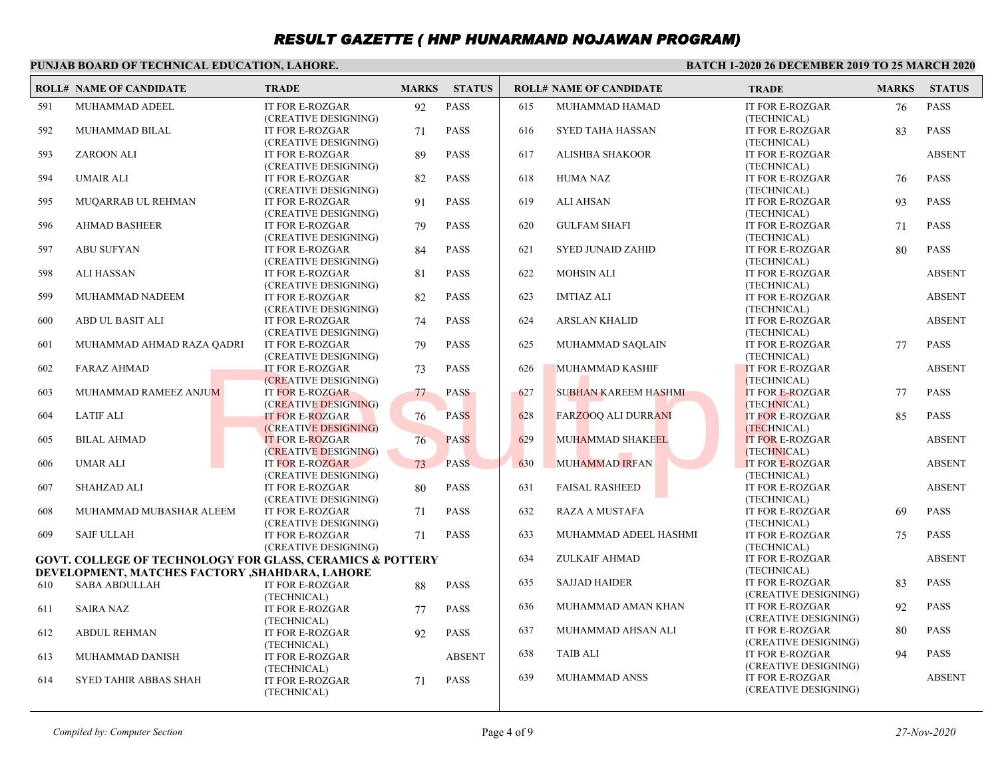#### **PUNJAB BOARD OF TECHNICAL EDUCATION, LAHORE.**

|     | <b>ROLL# NAME OF CANDIDATE</b>                  | <b>TRADE</b>                                              | <b>MARKS</b> | <b>STATUS</b> |     | <b>ROLL# NAME OF CANDIDATE</b> | <b>TRADE</b>                                   | <b>MARKS</b> | <b>STATUS</b> |
|-----|-------------------------------------------------|-----------------------------------------------------------|--------------|---------------|-----|--------------------------------|------------------------------------------------|--------------|---------------|
| 591 | MUHAMMAD ADEEL                                  | IT FOR E-ROZGAR<br>(CREATIVE DESIGNING)                   | 92           | <b>PASS</b>   | 615 | MUHAMMAD HAMAD                 | <b>IT FOR E-ROZGAR</b><br>(TECHNICAL)          | 76           | <b>PASS</b>   |
| 592 | MUHAMMAD BILAL                                  | <b>IT FOR E-ROZGAR</b><br>(CREATIVE DESIGNING)            | 71           | <b>PASS</b>   | 616 | <b>SYED TAHA HASSAN</b>        | <b>IT FOR E-ROZGAR</b><br>(TECHNICAL)          | 83           | <b>PASS</b>   |
| 593 | <b>ZAROON ALI</b>                               | IT FOR E-ROZGAR<br>(CREATIVE DESIGNING)                   | 89           | <b>PASS</b>   | 617 | ALISHBA SHAKOOR                | <b>IT FOR E-ROZGAR</b><br>(TECHNICAL)          |              | <b>ABSENT</b> |
| 594 | <b>UMAIR ALI</b>                                | <b>IT FOR E-ROZGAR</b><br>(CREATIVE DESIGNING)            | 82           | <b>PASS</b>   | 618 | <b>HUMA NAZ</b>                | <b>IT FOR E-ROZGAR</b><br>(TECHNICAL)          | 76           | <b>PASS</b>   |
| 595 | MUQARRAB UL REHMAN                              | IT FOR E-ROZGAR<br>(CREATIVE DESIGNING)                   | 91           | <b>PASS</b>   | 619 | <b>ALI AHSAN</b>               | IT FOR E-ROZGAR<br>(TECHNICAL)                 | 93           | <b>PASS</b>   |
| 596 | <b>AHMAD BASHEER</b>                            | <b>IT FOR E-ROZGAR</b><br>(CREATIVE DESIGNING)            | 79           | <b>PASS</b>   | 620 | <b>GULFAM SHAFI</b>            | <b>IT FOR E-ROZGAR</b><br>(TECHNICAL)          | 71           | <b>PASS</b>   |
| 597 | <b>ABU SUFYAN</b>                               | <b>IT FOR E-ROZGAR</b><br>(CREATIVE DESIGNING)            | 84           | <b>PASS</b>   | 621 | <b>SYED JUNAID ZAHID</b>       | IT FOR E-ROZGAR<br>(TECHNICAL)                 | 80           | <b>PASS</b>   |
| 598 | <b>ALI HASSAN</b>                               | <b>IT FOR E-ROZGAR</b><br>(CREATIVE DESIGNING)            | 81           | <b>PASS</b>   | 622 | <b>MOHSIN ALI</b>              | <b>IT FOR E-ROZGAR</b><br>(TECHNICAL)          |              | <b>ABSENT</b> |
| 599 | MUHAMMAD NADEEM                                 | <b>IT FOR E-ROZGAR</b><br>(CREATIVE DESIGNING)            | 82           | <b>PASS</b>   | 623 | <b>IMTIAZ ALI</b>              | <b>IT FOR E-ROZGAR</b><br>(TECHNICAL)          |              | <b>ABSENT</b> |
| 600 | ABD UL BASIT ALI                                | <b>IT FOR E-ROZGAR</b><br>(CREATIVE DESIGNING)            | 74           | <b>PASS</b>   | 624 | <b>ARSLAN KHALID</b>           | <b>IT FOR E-ROZGAR</b><br>(TECHNICAL)          |              | <b>ABSENT</b> |
| 601 | MUHAMMAD AHMAD RAZA QADRI                       | IT FOR E-ROZGAR<br>(CREATIVE DESIGNING)                   | 79           | <b>PASS</b>   | 625 | MUHAMMAD SAQLAIN               | IT FOR E-ROZGAR<br>(TECHNICAL)                 | 77           | <b>PASS</b>   |
| 602 | <b>FARAZ AHMAD</b>                              | <b>IT FOR E-ROZGAR</b><br>(CREATIVE DESIGNING)            | 73           | <b>PASS</b>   | 626 | <b>MUHAMMAD KASHIF</b>         | <b>IT FOR E-ROZGAR</b><br>(TECHNICAL)          |              | <b>ABSENT</b> |
| 603 | MUHAMMAD RAMEEZ ANJUM                           | <b>IT FOR E-ROZGAR</b><br>(CREATIVE DESIGNING)            | 77           | <b>PASS</b>   | 627 | <b>SUBHAN KAREEM HASHMI</b>    | IT FOR E-ROZGAR<br>(TECHNICAL)                 | 77           | <b>PASS</b>   |
| 604 | <b>LATIF ALI</b>                                | <b>IT FOR E-ROZGAR</b><br>(CREATIVE DESIGNING)            | 76           | <b>PASS</b>   | 628 | <b>FARZOOQ ALI DURRANI</b>     | <b>IT FOR E-ROZGAR</b><br>(TECHNICAL)          | 85           | <b>PASS</b>   |
| 605 | <b>BILAL AHMAD</b>                              | <b>IT FOR E-ROZGAR</b><br>(CREATIVE DESIGNING)            | 76           | <b>PASS</b>   | 629 | MUHAMMAD SHAKEEL               | <b>IT FOR E-ROZGAR</b><br>(TECHNICAL)          |              | <b>ABSENT</b> |
| 606 | <b>UMAR ALI</b>                                 | <b>IT FOR E-ROZGAR</b><br>(CREATIVE DESIGNING)            | 73           | <b>PASS</b>   | 630 | <b>MUHAMMAD IRFAN</b>          | <b>IT FOR E-ROZGAR</b><br>(TECHNICAL)          |              | <b>ABSENT</b> |
| 607 | <b>SHAHZAD ALI</b>                              | <b>IT FOR E-ROZGAR</b><br>(CREATIVE DESIGNING)            | 80           | <b>PASS</b>   | 631 | <b>FAISAL RASHEED</b>          | <b>IT FOR E-ROZGAR</b><br>(TECHNICAL)          |              | <b>ABSENT</b> |
| 608 | MUHAMMAD MUBASHAR ALEEM                         | IT FOR E-ROZGAR<br>(CREATIVE DESIGNING)                   | 71           | <b>PASS</b>   | 632 | <b>RAZA A MUSTAFA</b>          | <b>IT FOR E-ROZGAR</b><br>(TECHNICAL)          | 69           | <b>PASS</b>   |
| 609 | <b>SAIF ULLAH</b>                               | <b>IT FOR E-ROZGAR</b><br>(CREATIVE DESIGNING)            | 71           | <b>PASS</b>   | 633 | MUHAMMAD ADEEL HASHMI          | <b>IT FOR E-ROZGAR</b><br>(TECHNICAL)          | 75           | <b>PASS</b>   |
|     | DEVELOPMENT, MATCHES FACTORY , SHAHDARA, LAHORE | GOVT. COLLEGE OF TECHNOLOGY FOR GLASS, CERAMICS & POTTERY |              |               | 634 | <b>ZULKAIF AHMAD</b>           | <b>IT FOR E-ROZGAR</b><br>(TECHNICAL)          |              | <b>ABSENT</b> |
| 610 | <b>SABA ABDULLAH</b>                            | IT FOR E-ROZGAR<br>(TECHNICAL)                            | 88           | <b>PASS</b>   | 635 | <b>SAJJAD HAIDER</b>           | <b>IT FOR E-ROZGAR</b><br>(CREATIVE DESIGNING) | 83           | <b>PASS</b>   |
| 611 | <b>SAIRA NAZ</b>                                | IT FOR E-ROZGAR<br>(TECHNICAL)                            | 77           | <b>PASS</b>   | 636 | MUHAMMAD AMAN KHAN             | <b>IT FOR E-ROZGAR</b><br>(CREATIVE DESIGNING) | 92           | <b>PASS</b>   |
| 612 | <b>ABDUL REHMAN</b>                             | IT FOR E-ROZGAR<br>(TECHNICAL)                            | 92           | <b>PASS</b>   | 637 | MUHAMMAD AHSAN ALI             | <b>IT FOR E-ROZGAR</b><br>(CREATIVE DESIGNING) | 80           | <b>PASS</b>   |
| 613 | MUHAMMAD DANISH                                 | IT FOR E-ROZGAR<br>(TECHNICAL)                            |              | <b>ABSENT</b> | 638 | <b>TAIB ALI</b>                | <b>IT FOR E-ROZGAR</b><br>(CREATIVE DESIGNING) | 94           | <b>PASS</b>   |
| 614 | <b>SYED TAHIR ABBAS SHAH</b>                    | IT FOR E-ROZGAR<br>(TECHNICAL)                            | 71           | <b>PASS</b>   | 639 | MUHAMMAD ANSS                  | <b>IT FOR E-ROZGAR</b><br>(CREATIVE DESIGNING) |              | <b>ABSENT</b> |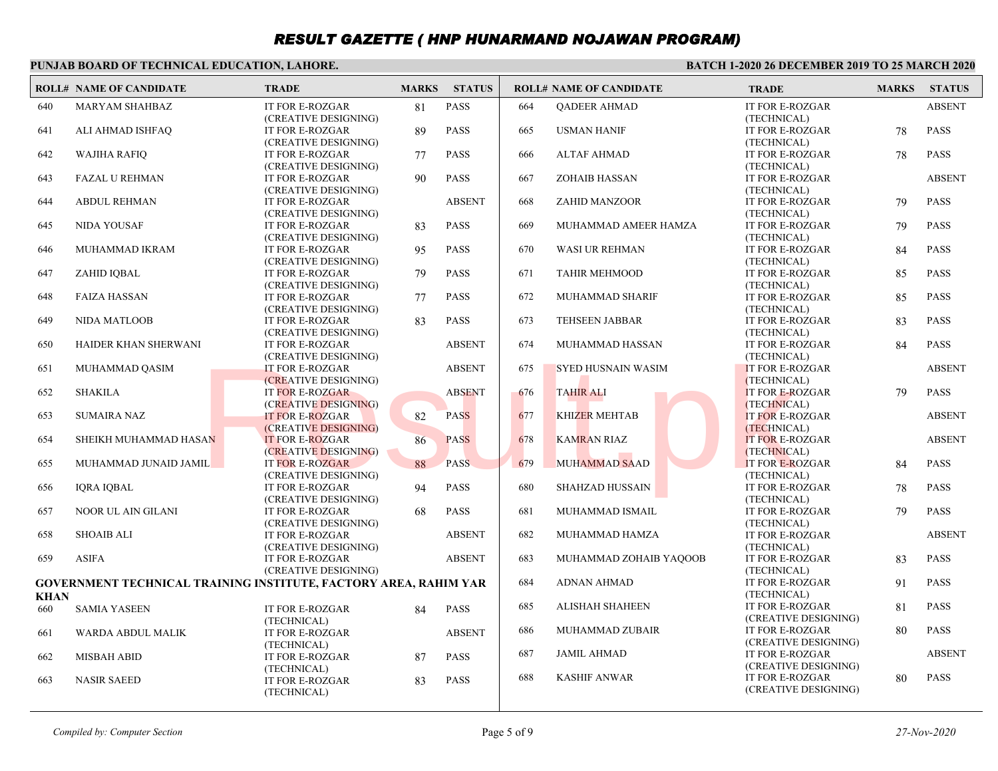#### **PUNJAB BOARD OF TECHNICAL EDUCATION, LAHORE.**

|             | <b>ROLL# NAME OF CANDIDATE</b> | <b>TRADE</b>                                                     | <b>MARKS</b> | <b>STATUS</b> |     | <b>ROLL# NAME OF CANDIDATE</b> | <b>TRADE</b>                          | <b>MARKS</b> | <b>STATUS</b> |
|-------------|--------------------------------|------------------------------------------------------------------|--------------|---------------|-----|--------------------------------|---------------------------------------|--------------|---------------|
| 640         | <b>MARYAM SHAHBAZ</b>          | <b>IT FOR E-ROZGAR</b>                                           | 81           | <b>PASS</b>   | 664 | <b>OADEER AHMAD</b>            | <b>IT FOR E-ROZGAR</b>                |              | <b>ABSENT</b> |
|             |                                | (CREATIVE DESIGNING)                                             |              |               |     |                                | (TECHNICAL)                           |              |               |
| 641         | ALI AHMAD ISHFAQ               | IT FOR E-ROZGAR                                                  | 89           | <b>PASS</b>   | 665 | <b>USMAN HANIF</b>             | <b>IT FOR E-ROZGAR</b>                | 78           | <b>PASS</b>   |
|             |                                | (CREATIVE DESIGNING)                                             |              |               |     |                                | (TECHNICAL)                           |              |               |
| 642         | <b>WAJIHA RAFIQ</b>            | <b>IT FOR E-ROZGAR</b>                                           | 77           | <b>PASS</b>   | 666 | <b>ALTAF AHMAD</b>             | <b>IT FOR E-ROZGAR</b>                | 78           | <b>PASS</b>   |
|             |                                | (CREATIVE DESIGNING)                                             |              |               |     |                                | (TECHNICAL)                           |              |               |
| 643         | <b>FAZAL U REHMAN</b>          | <b>IT FOR E-ROZGAR</b>                                           | 90           | <b>PASS</b>   | 667 | <b>ZOHAIB HASSAN</b>           | <b>IT FOR E-ROZGAR</b>                |              | <b>ABSENT</b> |
|             |                                | (CREATIVE DESIGNING)                                             |              |               |     |                                | (TECHNICAL)                           |              |               |
| 644         | <b>ABDUL REHMAN</b>            | <b>IT FOR E-ROZGAR</b>                                           |              | <b>ABSENT</b> | 668 | <b>ZAHID MANZOOR</b>           | <b>IT FOR E-ROZGAR</b>                | 79           | <b>PASS</b>   |
|             |                                | (CREATIVE DESIGNING)                                             |              |               |     |                                | (TECHNICAL)                           |              |               |
| 645         | <b>NIDA YOUSAF</b>             | <b>IT FOR E-ROZGAR</b>                                           | 83           | <b>PASS</b>   | 669 | MUHAMMAD AMEER HAMZA           | <b>IT FOR E-ROZGAR</b>                | 79           | <b>PASS</b>   |
|             |                                | (CREATIVE DESIGNING)                                             |              |               |     |                                | (TECHNICAL)                           |              |               |
| 646         | MUHAMMAD IKRAM                 | <b>IT FOR E-ROZGAR</b>                                           | 95           | <b>PASS</b>   | 670 | <b>WASI UR REHMAN</b>          | <b>IT FOR E-ROZGAR</b>                | 84           | <b>PASS</b>   |
|             |                                | (CREATIVE DESIGNING)                                             |              |               |     |                                | (TECHNICAL)                           |              |               |
| 647         | ZAHID IQBAL                    | <b>IT FOR E-ROZGAR</b>                                           | 79           | <b>PASS</b>   | 671 | <b>TAHIR MEHMOOD</b>           | <b>IT FOR E-ROZGAR</b>                | 85           | <b>PASS</b>   |
|             |                                | (CREATIVE DESIGNING)                                             |              |               |     |                                | (TECHNICAL)                           |              |               |
| 648         | <b>FAIZA HASSAN</b>            | <b>IT FOR E-ROZGAR</b>                                           | 77           | <b>PASS</b>   | 672 | MUHAMMAD SHARIF                | <b>IT FOR E-ROZGAR</b>                | 85           | <b>PASS</b>   |
|             |                                | (CREATIVE DESIGNING)                                             |              |               |     |                                | (TECHNICAL)                           |              |               |
| 649         | <b>NIDA MATLOOB</b>            | <b>IT FOR E-ROZGAR</b>                                           | 83           | <b>PASS</b>   | 673 | <b>TEHSEEN JABBAR</b>          | <b>IT FOR E-ROZGAR</b>                | 83           | <b>PASS</b>   |
|             | HAIDER KHAN SHERWANI           | (CREATIVE DESIGNING)<br>IT FOR E-ROZGAR                          |              | <b>ABSENT</b> | 674 | MUHAMMAD HASSAN                | (TECHNICAL)<br><b>IT FOR E-ROZGAR</b> |              | <b>PASS</b>   |
| 650         |                                |                                                                  |              |               |     |                                |                                       | 84           |               |
| 651         | MUHAMMAD QASIM                 | (CREATIVE DESIGNING)<br><b>IT FOR E-ROZGAR</b>                   |              | <b>ABSENT</b> | 675 | <b>SYED HUSNAIN WASIM</b>      | (TECHNICAL)<br><b>IT FOR E-ROZGAR</b> |              | <b>ABSENT</b> |
|             |                                | (CREATIVE DESIGNING)                                             |              |               |     |                                | (TECHNICAL)                           |              |               |
| 652         | <b>SHAKILA</b>                 | <b>IT FOR E-ROZGAR</b>                                           |              | <b>ABSENT</b> | 676 | <b>TAHIR ALI</b>               | <b>IT FOR E-ROZGAR</b>                | 79           | <b>PASS</b>   |
|             |                                | (CREATIVE DESIGNING)                                             |              |               |     |                                | (TECHNICAL)                           |              |               |
| 653         | <b>SUMAIRA NAZ</b>             | <b>IT FOR E-ROZGAR</b>                                           | 82           | <b>PASS</b>   | 677 | <b>KHIZER MEHTAB</b>           | <b>IT FOR E-ROZGAR</b>                |              | <b>ABSENT</b> |
|             |                                | (CREATIVE DESIGNING)                                             |              |               |     |                                | (TECHNICAL)                           |              |               |
| 654         | SHEIKH MUHAMMAD HASAN          | <b>IT FOR E-ROZGAR</b>                                           | 86           | <b>PASS</b>   | 678 | <b>KAMRAN RIAZ</b>             | <b>IT FOR E-ROZGAR</b>                |              | <b>ABSENT</b> |
|             |                                | (CREATIVE DESIGNING)                                             |              |               |     |                                | (TECHNICAL)                           |              |               |
| 655         | MUHAMMAD JUNAID JAMIL          | <b>IT FOR E-ROZGAR</b>                                           | 88           | <b>PASS</b>   | 679 | <b>MUHAMMAD SAAD</b>           | IT FOR E-ROZGAR                       | 84           | <b>PASS</b>   |
|             |                                | (CREATIVE DESIGNING)                                             |              |               |     |                                | (TECHNICAL)                           |              |               |
| 656         | <b>IQRA IQBAL</b>              | <b>IT FOR E-ROZGAR</b>                                           | 94           | <b>PASS</b>   | 680 | <b>SHAHZAD HUSSAIN</b>         | <b>IT FOR E-ROZGAR</b>                | 78           | <b>PASS</b>   |
|             |                                | (CREATIVE DESIGNING)                                             |              |               |     |                                | (TECHNICAL)                           |              |               |
| 657         | NOOR UL AIN GILANI             | IT FOR E-ROZGAR                                                  | 68           | <b>PASS</b>   | 681 | MUHAMMAD ISMAIL                | <b>IT FOR E-ROZGAR</b>                | 79           | <b>PASS</b>   |
|             |                                | (CREATIVE DESIGNING)                                             |              |               |     |                                | (TECHNICAL)                           |              |               |
| 658         | <b>SHOAIB ALI</b>              | <b>IT FOR E-ROZGAR</b>                                           |              | <b>ABSENT</b> | 682 | MUHAMMAD HAMZA                 | <b>IT FOR E-ROZGAR</b>                |              | <b>ABSENT</b> |
|             |                                | (CREATIVE DESIGNING)                                             |              |               |     |                                | (TECHNICAL)                           |              |               |
| 659         | <b>ASIFA</b>                   | IT FOR E-ROZGAR                                                  |              | <b>ABSENT</b> | 683 | MUHAMMAD ZOHAIB YAQOOB         | IT FOR E-ROZGAR                       | 83           | <b>PASS</b>   |
|             |                                | (CREATIVE DESIGNING)                                             |              |               |     |                                | (TECHNICAL)                           |              |               |
|             |                                | GOVERNMENT TECHNICAL TRAINING INSTITUTE, FACTORY AREA, RAHIM YAR |              |               | 684 | <b>ADNAN AHMAD</b>             | <b>IT FOR E-ROZGAR</b>                | 91           | <b>PASS</b>   |
| <b>KHAN</b> |                                |                                                                  |              |               |     |                                | (TECHNICAL)                           |              |               |
| 660         | <b>SAMIA YASEEN</b>            | <b>IT FOR E-ROZGAR</b>                                           | 84           | <b>PASS</b>   | 685 | ALISHAH SHAHEEN                | IT FOR E-ROZGAR                       | 81           | <b>PASS</b>   |
|             |                                | (TECHNICAL)                                                      |              |               |     |                                | (CREATIVE DESIGNING)                  |              |               |
| 661         | WARDA ABDUL MALIK              | IT FOR E-ROZGAR                                                  |              | <b>ABSENT</b> | 686 | MUHAMMAD ZUBAIR                | <b>IT FOR E-ROZGAR</b>                | 80           | <b>PASS</b>   |
|             |                                | (TECHNICAL)                                                      |              |               |     |                                | (CREATIVE DESIGNING)                  |              |               |
| 662         | <b>MISBAH ABID</b>             | IT FOR E-ROZGAR                                                  | 87           | <b>PASS</b>   | 687 | <b>JAMIL AHMAD</b>             | IT FOR E-ROZGAR                       |              | <b>ABSENT</b> |
|             |                                | (TECHNICAL)                                                      |              |               |     |                                | (CREATIVE DESIGNING)                  |              |               |
| 663         | <b>NASIR SAEED</b>             | IT FOR E-ROZGAR                                                  | 83           | <b>PASS</b>   | 688 | <b>KASHIF ANWAR</b>            | <b>IT FOR E-ROZGAR</b>                | 80           | <b>PASS</b>   |
|             |                                | (TECHNICAL)                                                      |              |               |     |                                | (CREATIVE DESIGNING)                  |              |               |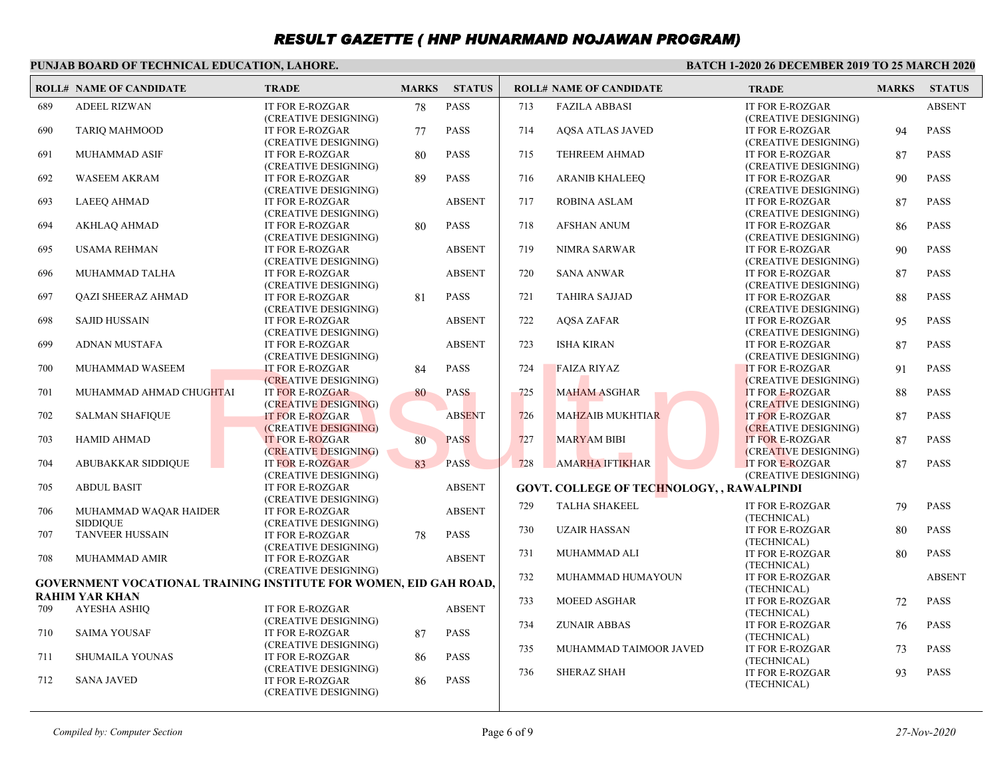#### **PUNJAB BOARD OF TECHNICAL EDUCATION, LAHORE.**

|     | <b>ROLL# NAME OF CANDIDATE</b> | <b>TRADE</b>                                                      | <b>MARKS</b> | <b>STATUS</b> |     | <b>ROLL# NAME OF CANDIDATE</b>            | <b>TRADE</b>                            | <b>MARKS</b> | <b>STATUS</b> |
|-----|--------------------------------|-------------------------------------------------------------------|--------------|---------------|-----|-------------------------------------------|-----------------------------------------|--------------|---------------|
| 689 | <b>ADEEL RIZWAN</b>            | <b>IT FOR E-ROZGAR</b>                                            | 78           | <b>PASS</b>   | 713 | <b>FAZILA ABBASI</b>                      | IT FOR E-ROZGAR                         |              | <b>ABSENT</b> |
|     |                                | (CREATIVE DESIGNING)                                              |              |               |     |                                           | (CREATIVE DESIGNING)                    |              |               |
| 690 | <b>TARIO MAHMOOD</b>           | <b>IT FOR E-ROZGAR</b>                                            | 77           | <b>PASS</b>   | 714 | <b>AQSA ATLAS JAVED</b>                   | IT FOR E-ROZGAR                         | 94           | <b>PASS</b>   |
|     |                                | (CREATIVE DESIGNING)                                              |              |               |     |                                           | (CREATIVE DESIGNING)                    |              |               |
| 691 | <b>MUHAMMAD ASIF</b>           | <b>IT FOR E-ROZGAR</b>                                            | 80           | <b>PASS</b>   | 715 | <b>TEHREEM AHMAD</b>                      | <b>IT FOR E-ROZGAR</b>                  | 87           | <b>PASS</b>   |
|     |                                | (CREATIVE DESIGNING)                                              |              |               |     |                                           | (CREATIVE DESIGNING)                    |              |               |
| 692 | WASEEM AKRAM                   | <b>IT FOR E-ROZGAR</b>                                            | 89           | <b>PASS</b>   | 716 | <b>ARANIB KHALEEQ</b>                     | IT FOR E-ROZGAR                         | 90           | <b>PASS</b>   |
|     |                                | (CREATIVE DESIGNING)                                              |              |               |     |                                           | (CREATIVE DESIGNING)                    |              |               |
| 693 | <b>LAEEO AHMAD</b>             | <b>IT FOR E-ROZGAR</b>                                            |              | <b>ABSENT</b> | 717 | <b>ROBINA ASLAM</b>                       | <b>IT FOR E-ROZGAR</b>                  | 87           | <b>PASS</b>   |
|     |                                | (CREATIVE DESIGNING)                                              |              |               |     |                                           | (CREATIVE DESIGNING)                    |              |               |
| 694 | <b>AKHLAQ AHMAD</b>            | IT FOR E-ROZGAR                                                   | 80           | <b>PASS</b>   | 718 | <b>AFSHAN ANUM</b>                        | IT FOR E-ROZGAR                         | 86           | <b>PASS</b>   |
|     |                                | (CREATIVE DESIGNING)                                              |              |               |     |                                           | (CREATIVE DESIGNING)                    |              |               |
| 695 | <b>USAMA REHMAN</b>            | IT FOR E-ROZGAR                                                   |              | <b>ABSENT</b> | 719 | <b>NIMRA SARWAR</b>                       | <b>IT FOR E-ROZGAR</b>                  | 90           | <b>PASS</b>   |
|     |                                | (CREATIVE DESIGNING)                                              |              |               |     |                                           | (CREATIVE DESIGNING)                    |              |               |
| 696 | MUHAMMAD TALHA                 | IT FOR E-ROZGAR                                                   |              | <b>ABSENT</b> | 720 | <b>SANA ANWAR</b>                         | <b>IT FOR E-ROZGAR</b>                  | 87           | <b>PASS</b>   |
|     |                                | (CREATIVE DESIGNING)                                              |              |               |     |                                           | (CREATIVE DESIGNING)                    |              |               |
| 697 | <b>OAZI SHEERAZ AHMAD</b>      | <b>IT FOR E-ROZGAR</b>                                            | 81           | <b>PASS</b>   | 721 | <b>TAHIRA SAJJAD</b>                      | <b>IT FOR E-ROZGAR</b>                  | 88           | <b>PASS</b>   |
|     | <b>SAJID HUSSAIN</b>           | (CREATIVE DESIGNING)<br><b>IT FOR E-ROZGAR</b>                    |              |               |     |                                           | (CREATIVE DESIGNING)<br>IT FOR E-ROZGAR |              | <b>PASS</b>   |
| 698 |                                | (CREATIVE DESIGNING)                                              |              | <b>ABSENT</b> | 722 | AQSA ZAFAR                                | (CREATIVE DESIGNING)                    | 95           |               |
| 699 | ADNAN MUSTAFA                  | IT FOR E-ROZGAR                                                   |              | <b>ABSENT</b> | 723 | <b>ISHA KIRAN</b>                         | IT FOR E-ROZGAR                         | 87           | <b>PASS</b>   |
|     |                                | (CREATIVE DESIGNING)                                              |              |               |     |                                           | (CREATIVE DESIGNING)                    |              |               |
| 700 | MUHAMMAD WASEEM                | <b>IT FOR E-ROZGAR</b>                                            | 84           | <b>PASS</b>   | 724 | <b>FAIZA RIYAZ</b>                        | <b>IT FOR E-ROZGAR</b>                  | 91           | <b>PASS</b>   |
|     |                                | (CREATIVE DESIGNING)                                              |              |               |     |                                           | (CREATIVE DESIGNING)                    |              |               |
| 701 | MUHAMMAD AHMAD CHUGHTAI        | <b>IT FOR E-ROZGAR</b>                                            | 80           | <b>PASS</b>   | 725 | <b>MAHAM ASGHAR</b>                       | <b>IT FOR E-ROZGAR</b>                  | 88           | <b>PASS</b>   |
|     |                                | (CREATIVE DESIGNING)                                              |              |               |     |                                           | (CREATIVE DESIGNING)                    |              |               |
| 702 | <b>SALMAN SHAFIQUE</b>         | <b>IT FOR E-ROZGAR</b>                                            |              | <b>ABSENT</b> | 726 | <b>MAHZAIB MUKHTIAR</b>                   | <b>IT FOR E-ROZGAR</b>                  | 87           | <b>PASS</b>   |
|     |                                | (CREATIVE DESIGNING)                                              |              |               |     |                                           | (CREATIVE DESIGNING)                    |              |               |
| 703 | HAMID AHMAD                    | <b>IT FOR E-ROZGAR</b>                                            | 80           | <b>PASS</b>   | 727 | <b>MARYAM BIBI</b>                        | <b>IT FOR E-ROZGAR</b>                  | 87           | <b>PASS</b>   |
|     |                                | (CREATIVE DESIGNING)                                              |              |               |     |                                           | (CREATIVE DESIGNING)                    |              |               |
| 704 | <b>ABUBAKKAR SIDDIQUE</b>      | <b>IT FOR E-ROZGAR</b>                                            | 83           | <b>PASS</b>   | 728 | <b>AMARHA IFTIKHAR</b>                    | <b>IT FOR E-ROZGAR</b>                  | 87           | <b>PASS</b>   |
|     |                                | (CREATIVE DESIGNING)                                              |              |               |     |                                           | (CREATIVE DESIGNING)                    |              |               |
| 705 | <b>ABDUL BASIT</b>             | IT FOR E-ROZGAR                                                   |              | <b>ABSENT</b> |     | GOVT. COLLEGE OF TECHNOLOGY, , RAWALPINDI |                                         |              |               |
|     |                                | (CREATIVE DESIGNING)                                              |              |               |     |                                           |                                         |              |               |
| 706 | MUHAMMAD WAQAR HAIDER          | <b>IT FOR E-ROZGAR</b>                                            |              | <b>ABSENT</b> | 729 | <b>TALHA SHAKEEL</b>                      | IT FOR E-ROZGAR                         | 79           | <b>PASS</b>   |
|     | <b>SIDDIOUE</b>                | (CREATIVE DESIGNING)                                              |              |               | 730 | <b>UZAIR HASSAN</b>                       | (TECHNICAL)                             |              | <b>PASS</b>   |
| 707 | <b>TANVEER HUSSAIN</b>         | <b>IT FOR E-ROZGAR</b>                                            | 78           | <b>PASS</b>   |     |                                           | IT FOR E-ROZGAR<br>(TECHNICAL)          | 80           |               |
|     |                                | (CREATIVE DESIGNING)                                              |              |               |     | MUHAMMAD ALI                              | <b>IT FOR E-ROZGAR</b>                  | 80           | <b>PASS</b>   |
| 708 | <b>MUHAMMAD AMIR</b>           | <b>IT FOR E-ROZGAR</b>                                            |              | <b>ABSENT</b> | 731 |                                           | (TECHNICAL)                             |              |               |
|     |                                | (CREATIVE DESIGNING)                                              |              |               | 732 | MUHAMMAD HUMAYOUN                         | IT FOR E-ROZGAR                         |              | <b>ABSENT</b> |
|     |                                | GOVERNMENT VOCATIONAL TRAINING INSTITUTE FOR WOMEN, EID GAH ROAD, |              |               |     |                                           | (TECHNICAL)                             |              |               |
|     | <b>RAHIM YAR KHAN</b>          |                                                                   |              |               | 733 | <b>MOEED ASGHAR</b>                       | <b>IT FOR E-ROZGAR</b>                  | 72           | <b>PASS</b>   |
| 709 | <b>AYESHA ASHIQ</b>            | <b>IT FOR E-ROZGAR</b>                                            |              | <b>ABSENT</b> |     |                                           | (TECHNICAL)                             |              |               |
|     |                                | (CREATIVE DESIGNING)                                              |              |               | 734 | <b>ZUNAIR ABBAS</b>                       | IT FOR E-ROZGAR                         | 76           | <b>PASS</b>   |
| 710 | <b>SAIMA YOUSAF</b>            | <b>IT FOR E-ROZGAR</b>                                            | 87           | <b>PASS</b>   |     |                                           | (TECHNICAL)                             |              |               |
|     |                                | (CREATIVE DESIGNING)                                              |              |               | 735 | MUHAMMAD TAIMOOR JAVED                    | IT FOR E-ROZGAR                         | 73           | <b>PASS</b>   |
| 711 | SHUMAILA YOUNAS                | IT FOR E-ROZGAR                                                   | 86           | <b>PASS</b>   |     |                                           | (TECHNICAL)                             |              |               |
|     |                                | (CREATIVE DESIGNING)                                              |              |               | 736 | <b>SHERAZ SHAH</b>                        | IT FOR E-ROZGAR                         | 93           | <b>PASS</b>   |
| 712 | <b>SANA JAVED</b>              | <b>IT FOR E-ROZGAR</b>                                            | 86           | <b>PASS</b>   |     |                                           | (TECHNICAL)                             |              |               |
|     |                                | (CREATIVE DESIGNING)                                              |              |               |     |                                           |                                         |              |               |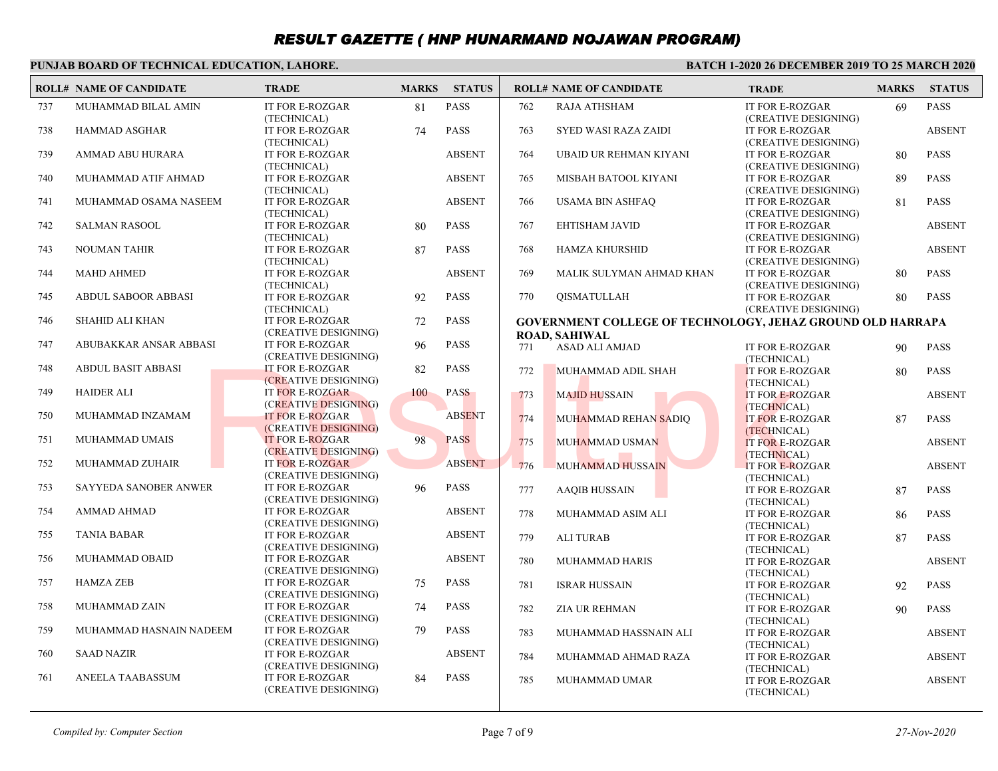#### **PUNJAB BOARD OF TECHNICAL EDUCATION, LAHORE.**

|     | <b>ROLL# NAME OF CANDIDATE</b> | <b>TRADE</b>                                   | <b>MARKS</b> | <b>STATUS</b> |     | <b>ROLL# NAME OF CANDIDATE</b>                                                            | <b>TRADE</b>                                   | <b>MARKS</b> | <b>STATUS</b> |
|-----|--------------------------------|------------------------------------------------|--------------|---------------|-----|-------------------------------------------------------------------------------------------|------------------------------------------------|--------------|---------------|
| 737 | MUHAMMAD BILAL AMIN            | IT FOR E-ROZGAR<br>(TECHNICAL)                 | 81           | <b>PASS</b>   | 762 | RAJA ATHSHAM                                                                              | IT FOR E-ROZGAR<br>(CREATIVE DESIGNING)        | 69           | <b>PASS</b>   |
| 738 | <b>HAMMAD ASGHAR</b>           | <b>IT FOR E-ROZGAR</b><br>(TECHNICAL)          | 74           | <b>PASS</b>   | 763 | <b>SYED WASI RAZA ZAIDI</b>                                                               | IT FOR E-ROZGAR<br>(CREATIVE DESIGNING)        |              | <b>ABSENT</b> |
| 739 | AMMAD ABU HURARA               | IT FOR E-ROZGAR<br>(TECHNICAL)                 |              | <b>ABSENT</b> | 764 | UBAID UR REHMAN KIYANI                                                                    | IT FOR E-ROZGAR<br>(CREATIVE DESIGNING)        | 80           | <b>PASS</b>   |
| 740 | MUHAMMAD ATIF AHMAD            | <b>IT FOR E-ROZGAR</b><br>(TECHNICAL)          |              | <b>ABSENT</b> | 765 | MISBAH BATOOL KIYANI                                                                      | <b>IT FOR E-ROZGAR</b><br>(CREATIVE DESIGNING) | 89           | <b>PASS</b>   |
| 741 | MUHAMMAD OSAMA NASEEM          | <b>IT FOR E-ROZGAR</b><br>(TECHNICAL)          |              | <b>ABSENT</b> | 766 | <b>USAMA BIN ASHFAO</b>                                                                   | <b>IT FOR E-ROZGAR</b><br>(CREATIVE DESIGNING) | 81           | <b>PASS</b>   |
| 742 | <b>SALMAN RASOOL</b>           | <b>IT FOR E-ROZGAR</b><br>(TECHNICAL)          | 80           | <b>PASS</b>   | 767 | EHTISHAM JAVID                                                                            | IT FOR E-ROZGAR<br>(CREATIVE DESIGNING)        |              | <b>ABSENT</b> |
| 743 | <b>NOUMAN TAHIR</b>            | IT FOR E-ROZGAR<br>(TECHNICAL)                 | 87           | <b>PASS</b>   | 768 | <b>HAMZA KHURSHID</b>                                                                     | <b>IT FOR E-ROZGAR</b><br>(CREATIVE DESIGNING) |              | <b>ABSENT</b> |
| 744 | <b>MAHD AHMED</b>              | <b>IT FOR E-ROZGAR</b><br>(TECHNICAL)          |              | <b>ABSENT</b> | 769 | MALIK SULYMAN AHMAD KHAN                                                                  | IT FOR E-ROZGAR<br>(CREATIVE DESIGNING)        | 80           | <b>PASS</b>   |
| 745 | <b>ABDUL SABOOR ABBASI</b>     | IT FOR E-ROZGAR<br>(TECHNICAL)                 | 92           | <b>PASS</b>   | 770 | <b>QISMATULLAH</b>                                                                        | <b>IT FOR E-ROZGAR</b><br>(CREATIVE DESIGNING) | 80           | <b>PASS</b>   |
| 746 | <b>SHAHID ALI KHAN</b>         | <b>IT FOR E-ROZGAR</b><br>(CREATIVE DESIGNING) | 72           | <b>PASS</b>   |     | <b>GOVERNMENT COLLEGE OF TECHNOLOGY, JEHAZ GROUND OLD HARRAPA</b><br><b>ROAD, SAHIWAL</b> |                                                |              |               |
| 747 | ABUBAKKAR ANSAR ABBASI         | IT FOR E-ROZGAR<br>(CREATIVE DESIGNING)        | 96           | <b>PASS</b>   | 771 | <b>ASAD ALI AMJAD</b>                                                                     | IT FOR E-ROZGAR<br>(TECHNICAL)                 | 90           | <b>PASS</b>   |
| 748 | <b>ABDUL BASIT ABBASI</b>      | <b>IT FOR E-ROZGAR</b><br>(CREATIVE DESIGNING) | 82           | <b>PASS</b>   | 772 | MUHAMMAD ADIL SHAH                                                                        | IT FOR E-ROZGAR<br>(TECHNICAL)                 | 80           | <b>PASS</b>   |
| 749 | <b>HAIDER ALI</b>              | <b>IT FOR E-ROZGAR</b><br>(CREATIVE DESIGNING) | 100          | <b>PASS</b>   | 773 | <b>MAJID HUSSAIN</b>                                                                      | <b>IT FOR E-ROZGAR</b><br>(TECHNICAL)          |              | <b>ABSENT</b> |
| 750 | MUHAMMAD INZAMAM               | <b>IT FOR E-ROZGAR</b><br>(CREATIVE DESIGNING) |              | <b>ABSENT</b> | 774 | MUHAMMAD REHAN SADIO                                                                      | <b>IT FOR E-ROZGAR</b><br>(TECHNICAL)          | 87           | <b>PASS</b>   |
| 751 | MUHAMMAD UMAIS                 | <b>IT FOR E-ROZGAR</b><br>(CREATIVE DESIGNING) | 98           | <b>PASS</b>   | 775 | MUHAMMAD USMAN                                                                            | <b>IT FOR E-ROZGAR</b><br>(TECHNICAL)          |              | <b>ABSENT</b> |
| 752 | MUHAMMAD ZUHAIR                | <b>IT FOR E-ROZGAR</b><br>(CREATIVE DESIGNING) |              | <b>ABSENT</b> | 776 | MUHAMMAD HUSSAIN                                                                          | IT FOR E-ROZGAR<br>(TECHNICAL)                 |              | <b>ABSENT</b> |
| 753 | SAYYEDA SANOBER ANWER          | <b>IT FOR E-ROZGAR</b><br>(CREATIVE DESIGNING) | 96           | <b>PASS</b>   | 777 | <b>AAQIB HUSSAIN</b>                                                                      | IT FOR E-ROZGAR<br>(TECHNICAL)                 | 87           | <b>PASS</b>   |
| 754 | <b>AMMAD AHMAD</b>             | IT FOR E-ROZGAR<br>(CREATIVE DESIGNING)        |              | <b>ABSENT</b> | 778 | MUHAMMAD ASIM ALI                                                                         | IT FOR E-ROZGAR<br>(TECHNICAL)                 | 86           | <b>PASS</b>   |
| 755 | <b>TANIA BABAR</b>             | <b>IT FOR E-ROZGAR</b><br>(CREATIVE DESIGNING) |              | <b>ABSENT</b> | 779 | <b>ALI TURAB</b>                                                                          | IT FOR E-ROZGAR<br>(TECHNICAL)                 | 87           | <b>PASS</b>   |
| 756 | MUHAMMAD OBAID                 | IT FOR E-ROZGAR<br>(CREATIVE DESIGNING)        |              | <b>ABSENT</b> | 780 | <b>MUHAMMAD HARIS</b>                                                                     | <b>IT FOR E-ROZGAR</b><br>(TECHNICAL)          |              | <b>ABSENT</b> |
| 757 | <b>HAMZA ZEB</b>               | <b>IT FOR E-ROZGAR</b><br>(CREATIVE DESIGNING) | 75           | <b>PASS</b>   | 781 | <b>ISRAR HUSSAIN</b>                                                                      | IT FOR E-ROZGAR<br>(TECHNICAL)                 | 92           | <b>PASS</b>   |
| 758 | <b>MUHAMMAD ZAIN</b>           | <b>IT FOR E-ROZGAR</b><br>(CREATIVE DESIGNING) | 74           | <b>PASS</b>   | 782 | <b>ZIA UR REHMAN</b>                                                                      | IT FOR E-ROZGAR<br>(TECHNICAL)                 | 90           | <b>PASS</b>   |
| 759 | MUHAMMAD HASNAIN NADEEM        | IT FOR E-ROZGAR<br>(CREATIVE DESIGNING)        | 79           | <b>PASS</b>   | 783 | MUHAMMAD HASSNAIN ALI                                                                     | IT FOR E-ROZGAR<br>(TECHNICAL)                 |              | <b>ABSENT</b> |
| 760 | <b>SAAD NAZIR</b>              | IT FOR E-ROZGAR<br>(CREATIVE DESIGNING)        |              | <b>ABSENT</b> | 784 | MUHAMMAD AHMAD RAZA                                                                       | IT FOR E-ROZGAR<br>(TECHNICAL)                 |              | <b>ABSENT</b> |
| 761 | ANEELA TAABASSUM               | <b>IT FOR E-ROZGAR</b><br>(CREATIVE DESIGNING) | 84           | <b>PASS</b>   | 785 | MUHAMMAD UMAR                                                                             | IT FOR E-ROZGAR<br>(TECHNICAL)                 |              | <b>ABSENT</b> |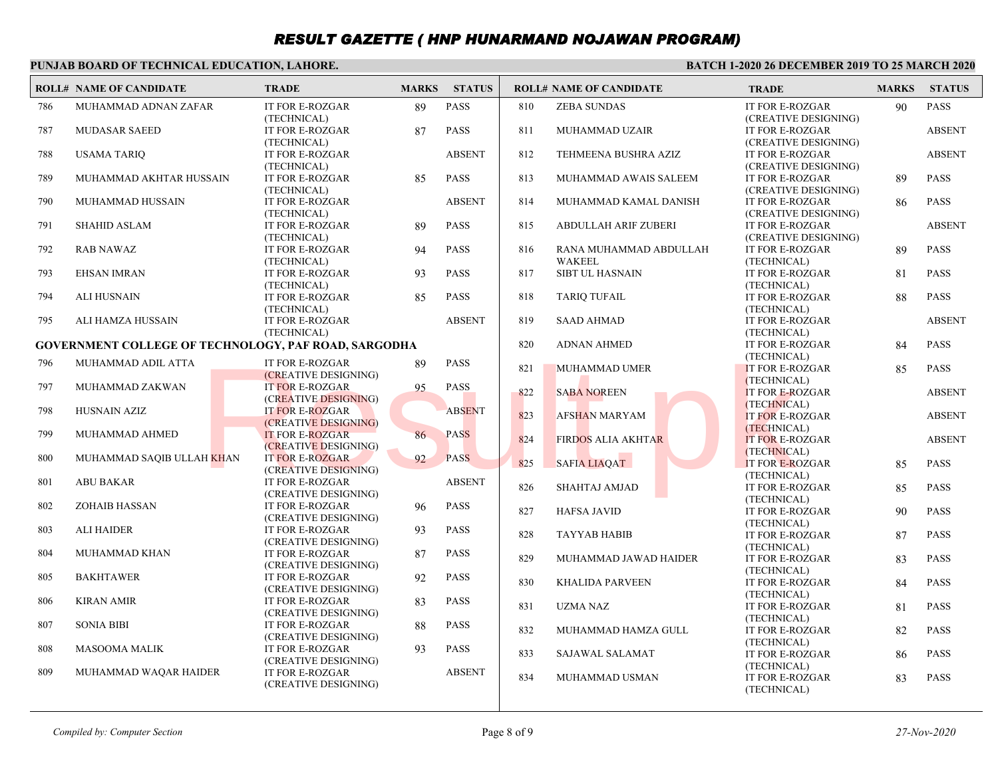#### **PUNJAB BOARD OF TECHNICAL EDUCATION, LAHORE.**

|     | <b>ROLL# NAME OF CANDIDATE</b>                       | <b>TRADE</b>                                   | <b>MARKS</b> | <b>STATUS</b> |     | <b>ROLL# NAME OF CANDIDATE</b>          | <b>TRADE</b>                                   | <b>MARKS</b> | <b>STATUS</b> |
|-----|------------------------------------------------------|------------------------------------------------|--------------|---------------|-----|-----------------------------------------|------------------------------------------------|--------------|---------------|
| 786 | MUHAMMAD ADNAN ZAFAR                                 | IT FOR E-ROZGAR<br>(TECHNICAL)                 | 89           | <b>PASS</b>   | 810 | <b>ZEBA SUNDAS</b>                      | IT FOR E-ROZGAR<br>(CREATIVE DESIGNING)        | 90           | <b>PASS</b>   |
| 787 | <b>MUDASAR SAEED</b>                                 | IT FOR E-ROZGAR<br>(TECHNICAL)                 | 87           | <b>PASS</b>   | 811 | MUHAMMAD UZAIR                          | IT FOR E-ROZGAR<br>(CREATIVE DESIGNING)        |              | <b>ABSENT</b> |
| 788 | <b>USAMA TARIO</b>                                   | IT FOR E-ROZGAR<br>(TECHNICAL)                 |              | <b>ABSENT</b> | 812 | TEHMEENA BUSHRA AZIZ                    | <b>IT FOR E-ROZGAR</b><br>(CREATIVE DESIGNING) |              | <b>ABSENT</b> |
| 789 | MUHAMMAD AKHTAR HUSSAIN                              | IT FOR E-ROZGAR<br>(TECHNICAL)                 | 85           | <b>PASS</b>   | 813 | MUHAMMAD AWAIS SALEEM                   | IT FOR E-ROZGAR<br>(CREATIVE DESIGNING)        | 89           | <b>PASS</b>   |
| 790 | MUHAMMAD HUSSAIN                                     | IT FOR E-ROZGAR<br>(TECHNICAL)                 |              | <b>ABSENT</b> | 814 | MUHAMMAD KAMAL DANISH                   | <b>IT FOR E-ROZGAR</b><br>(CREATIVE DESIGNING) | 86           | <b>PASS</b>   |
| 791 | <b>SHAHID ASLAM</b>                                  | IT FOR E-ROZGAR<br>(TECHNICAL)                 | 89           | <b>PASS</b>   | 815 | <b>ABDULLAH ARIF ZUBERI</b>             | IT FOR E-ROZGAR<br>(CREATIVE DESIGNING)        |              | <b>ABSENT</b> |
| 792 | <b>RAB NAWAZ</b>                                     | IT FOR E-ROZGAR<br>(TECHNICAL)                 | 94           | <b>PASS</b>   | 816 | RANA MUHAMMAD ABDULLAH<br><b>WAKEEL</b> | <b>IT FOR E-ROZGAR</b><br>(TECHNICAL)          | 89           | <b>PASS</b>   |
| 793 | <b>EHSAN IMRAN</b>                                   | <b>IT FOR E-ROZGAR</b><br>(TECHNICAL)          | 93           | <b>PASS</b>   | 817 | <b>SIBT UL HASNAIN</b>                  | IT FOR E-ROZGAR<br>(TECHNICAL)                 | 81           | <b>PASS</b>   |
| 794 | <b>ALI HUSNAIN</b>                                   | IT FOR E-ROZGAR<br>(TECHNICAL)                 | 85           | <b>PASS</b>   | 818 | <b>TARIQ TUFAIL</b>                     | IT FOR E-ROZGAR<br>(TECHNICAL)                 | 88           | <b>PASS</b>   |
| 795 | ALI HAMZA HUSSAIN                                    | IT FOR E-ROZGAR<br>(TECHNICAL)                 |              | <b>ABSENT</b> | 819 | <b>SAAD AHMAD</b>                       | IT FOR E-ROZGAR<br>(TECHNICAL)                 |              | <b>ABSENT</b> |
|     | GOVERNMENT COLLEGE OF TECHNOLOGY, PAF ROAD, SARGODHA |                                                |              |               | 820 | <b>ADNAN AHMED</b>                      | IT FOR E-ROZGAR                                | 84           | <b>PASS</b>   |
| 796 | MUHAMMAD ADIL ATTA                                   | <b>IT FOR E-ROZGAR</b>                         | 89           | <b>PASS</b>   | 821 | <b>MUHAMMAD UMER</b>                    | (TECHNICAL)<br><b>IT FOR E-ROZGAR</b>          | 85           | <b>PASS</b>   |
| 797 | MUHAMMAD ZAKWAN                                      | (CREATIVE DESIGNING)<br><b>IT FOR E-ROZGAR</b> | 95           | <b>PASS</b>   | 822 | <b>SABA NOREEN</b>                      | (TECHNICAL)<br>IT FOR E-ROZGAR                 |              | <b>ABSENT</b> |
| 798 | <b>HUSNAIN AZIZ</b>                                  | (CREATIVE DESIGNING)<br><b>IT FOR E-ROZGAR</b> |              | <b>ABSENT</b> | 823 | <b>AFSHAN MARYAM</b>                    | (TECHNICAL)<br><b>IT FOR E-ROZGAR</b>          |              | <b>ABSENT</b> |
| 799 | MUHAMMAD AHMED                                       | (CREATIVE DESIGNING)<br><b>IT FOR E-ROZGAR</b> | 86           | <b>PASS</b>   | 824 | <b>FIRDOS ALIA AKHTAR</b>               | (TECHNICAL)<br><b>IT FOR E-ROZGAR</b>          |              | <b>ABSENT</b> |
| 800 | MUHAMMAD SAQIB ULLAH KHAN                            | (CREATIVE DESIGNING)<br><b>IT FOR E-ROZGAR</b> | 92           | <b>PASS</b>   | 825 | SAFIA LIAQAT                            | (TECHNICAL)<br>IT FOR E-ROZGAR                 | 85           | <b>PASS</b>   |
| 801 | <b>ABU BAKAR</b>                                     | (CREATIVE DESIGNING)<br><b>IT FOR E-ROZGAR</b> |              | <b>ABSENT</b> | 826 | SHAHTAJ AMJAD                           | (TECHNICAL)<br>IT FOR E-ROZGAR                 | 85           | <b>PASS</b>   |
| 802 | <b>ZOHAIB HASSAN</b>                                 | (CREATIVE DESIGNING)<br><b>IT FOR E-ROZGAR</b> | 96           | <b>PASS</b>   | 827 | <b>HAFSA JAVID</b>                      | (TECHNICAL)<br>IT FOR E-ROZGAR                 | 90           | <b>PASS</b>   |
| 803 | <b>ALI HAIDER</b>                                    | (CREATIVE DESIGNING)<br><b>IT FOR E-ROZGAR</b> | 93           | <b>PASS</b>   | 828 | <b>TAYYAB HABIB</b>                     | (TECHNICAL)<br><b>IT FOR E-ROZGAR</b>          | 87           | <b>PASS</b>   |
| 804 | MUHAMMAD KHAN                                        | (CREATIVE DESIGNING)<br><b>IT FOR E-ROZGAR</b> | 87           | <b>PASS</b>   | 829 | MUHAMMAD JAWAD HAIDER                   | (TECHNICAL)<br>IT FOR E-ROZGAR                 | 83           | <b>PASS</b>   |
| 805 | <b>BAKHTAWER</b>                                     | (CREATIVE DESIGNING)<br>IT FOR E-ROZGAR        | 92           | <b>PASS</b>   | 830 | <b>KHALIDA PARVEEN</b>                  | (TECHNICAL)<br><b>IT FOR E-ROZGAR</b>          | 84           | <b>PASS</b>   |
| 806 | <b>KIRAN AMIR</b>                                    | (CREATIVE DESIGNING)<br>IT FOR E-ROZGAR        | 83           | <b>PASS</b>   | 831 | <b>UZMA NAZ</b>                         | (TECHNICAL)<br>IT FOR E-ROZGAR                 | 81           | <b>PASS</b>   |
| 807 | <b>SONIA BIBI</b>                                    | (CREATIVE DESIGNING)<br><b>IT FOR E-ROZGAR</b> | 88           | <b>PASS</b>   | 832 | MUHAMMAD HAMZA GULL                     | (TECHNICAL)<br>IT FOR E-ROZGAR                 | 82           | <b>PASS</b>   |
| 808 | <b>MASOOMA MALIK</b>                                 | (CREATIVE DESIGNING)<br><b>IT FOR E-ROZGAR</b> | 93           | <b>PASS</b>   | 833 |                                         | (TECHNICAL)                                    |              |               |
| 809 | MUHAMMAD WAQAR HAIDER                                | (CREATIVE DESIGNING)<br><b>IT FOR E-ROZGAR</b> |              | <b>ABSENT</b> |     | SAJAWAL SALAMAT                         | IT FOR E-ROZGAR<br>(TECHNICAL)                 | 86           | <b>PASS</b>   |
|     |                                                      | (CREATIVE DESIGNING)                           |              |               | 834 | MUHAMMAD USMAN                          | <b>IT FOR E-ROZGAR</b><br>(TECHNICAL)          | 83           | <b>PASS</b>   |